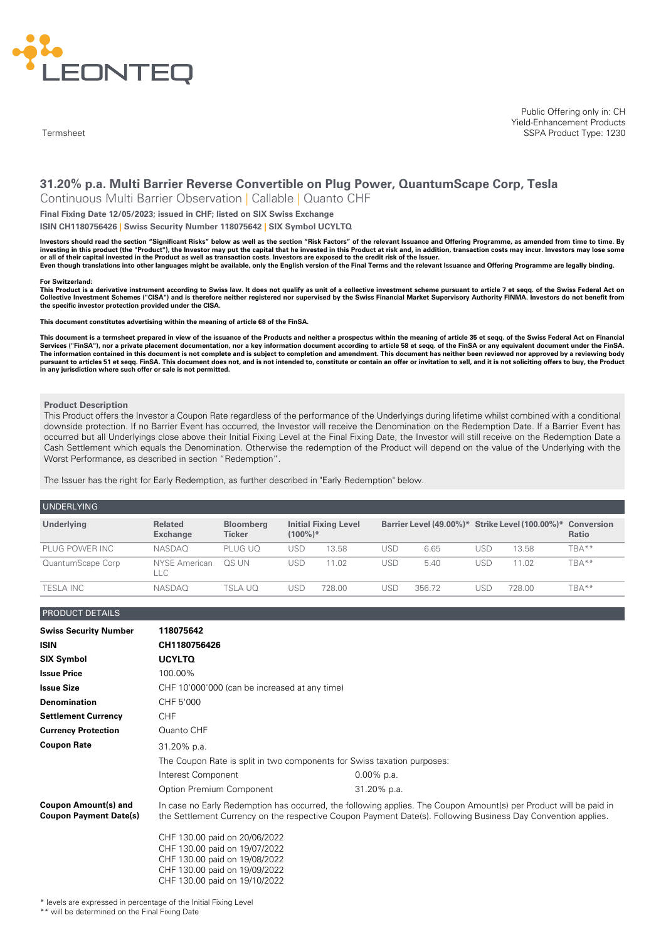

**Termsheet** 

Public Offering only in: CH Yield-Enhancement Products SSPA Product Type: 1230

# **31.20% p.a. Multi Barrier Reverse Convertible on Plug Power, QuantumScape Corp, Tesla**

Continuous Multi Barrier Observation | Callable | Quanto CHF

**Final Fixing Date 12/05/2023; issued in CHF; listed on SIX Swiss Exchange**

**ISIN CH1180756426 | Swiss Security Number 118075642 | SIX Symbol UCYLTQ**

Investors should read the section "Significant Risks" below as well as the section "Risk Factors" of the relevant Issuance and Offering Programme, as amended from time to time. By investing in this product (the "Product"), the Investor may put the capital that he invested in this Product at risk and, in addition, transaction costs may incur. Investors may lose some or all of their capital invested in the Product as well as transaction costs. Investors are exposed to the credit risk of the Issuer. Even though translations into other languages might be available, only the English version of the Final Terms and the relevant Issuance and Offering Programme are legally binding.

#### **For Switzerland:**

This Product is a derivative instrument according to Swiss law. It does not qualify as unit of a collective investment scheme pursuant to article 7 et seqq. of the Swiss Federal Act on Collective Investment Schemes ("CISA") and is therefore neither registered nor supervised by the Swiss Financial Market Supervisory Authority FINMA. Investors do not benefit from **the specific investor protection provided under the CISA.**

**This document constitutes advertising within the meaning of article 68 of the FinSA.**

This document is a termsheet prepared in view of the issuance of the Products and neither a prospectus within the meaning of article 35 et seqq. of the Swiss Federal Act on Financial<br>Services ("FinSA"), nor a private place The information contained in this document is not complete and is subject to completion and amendment. This document has neither been reviewed nor approved by a reviewing body pursuant to articles 51 et seqq. FinSA. This document does not, and is not intended to, constitute or contain an offer or invitation to sell, and it is not soliciting offers to buy, the Product<br>in any jurisdiction where su

#### **Product Description**

This Product offers the Investor a Coupon Rate regardless of the performance of the Underlyings during lifetime whilst combined with a conditional downside protection. If no Barrier Event has occurred, the Investor will receive the Denomination on the Redemption Date. If a Barrier Event has occurred but all Underlyings close above their Initial Fixing Level at the Final Fixing Date, the Investor will still receive on the Redemption Date a Cash Settlement which equals the Denomination. Otherwise the redemption of the Product will depend on the value of the Underlying with the Worst Performance, as described in section "Redemption".

The Issuer has the right for Early Redemption, as further described in "Early Redemption" below.

| <b>UNDERLYING</b> |                                   |                            |            |                             |     |        |     |                                                            |              |
|-------------------|-----------------------------------|----------------------------|------------|-----------------------------|-----|--------|-----|------------------------------------------------------------|--------------|
| Underlying        | <b>Related</b><br><b>Exchange</b> | <b>Bloomberg</b><br>Ticker | $(100\%)*$ | <b>Initial Fixing Level</b> |     |        |     | Barrier Level (49.00%)* Strike Level (100.00%)* Conversion | <b>Ratio</b> |
| PLUG POWER INC    | <b>NASDAO</b>                     | PLUG UO                    | USD        | 13.58                       | USD | 6.65   | USD | 13.58                                                      | TBA**        |
| QuantumScape Corp | NYSE American<br>LLC.             | OS UN                      | USD        | 11.02                       | USD | 5.40   | USD | 11.02                                                      | TBA**        |
| <b>TESLA INC</b>  | <b>NASDAO</b>                     | TSLA UO                    | JSE        | 728.00                      | USC | 356.72 | JSD | 728.00                                                     | TBA**        |

PRODUCT DETAILS

| <b>Swiss Security Number</b>                                 | 118075642                                                                                                                        |                                                                                                                                                                                                                                   |  |  |
|--------------------------------------------------------------|----------------------------------------------------------------------------------------------------------------------------------|-----------------------------------------------------------------------------------------------------------------------------------------------------------------------------------------------------------------------------------|--|--|
| <b>ISIN</b>                                                  | CH1180756426                                                                                                                     |                                                                                                                                                                                                                                   |  |  |
| <b>SIX Symbol</b>                                            | <b>UCYLTQ</b>                                                                                                                    |                                                                                                                                                                                                                                   |  |  |
| <b>Issue Price</b>                                           | 100.00%                                                                                                                          |                                                                                                                                                                                                                                   |  |  |
| <b>Issue Size</b>                                            | CHF 10'000'000 (can be increased at any time)                                                                                    |                                                                                                                                                                                                                                   |  |  |
| <b>Denomination</b>                                          | CHF 5'000                                                                                                                        |                                                                                                                                                                                                                                   |  |  |
| <b>Settlement Currency</b>                                   | <b>CHF</b>                                                                                                                       |                                                                                                                                                                                                                                   |  |  |
| <b>Currency Protection</b>                                   | Quanto CHF                                                                                                                       |                                                                                                                                                                                                                                   |  |  |
| <b>Coupon Rate</b>                                           | 31.20% p.a.                                                                                                                      |                                                                                                                                                                                                                                   |  |  |
|                                                              | The Coupon Rate is split in two components for Swiss taxation purposes:                                                          |                                                                                                                                                                                                                                   |  |  |
|                                                              | Interest Component                                                                                                               | $0.00\%$ p.a.                                                                                                                                                                                                                     |  |  |
|                                                              | Option Premium Component                                                                                                         | 31.20% p.a.                                                                                                                                                                                                                       |  |  |
| <b>Coupon Amount(s) and</b><br><b>Coupon Payment Date(s)</b> |                                                                                                                                  | In case no Early Redemption has occurred, the following applies. The Coupon Amount(s) per Product will be paid in<br>the Settlement Currency on the respective Coupon Payment Date(s). Following Business Day Convention applies. |  |  |
|                                                              | CHF 130.00 paid on 20/06/2022<br>CHF 130.00 paid on 19/07/2022<br>CHF 130.00 paid on 19/08/2022<br>CHF 130.00 paid on 19/09/2022 |                                                                                                                                                                                                                                   |  |  |

\* levels are expressed in percentage of the Initial Fixing Level

CHF 130.00 paid on 19/10/2022

\*\* will be determined on the Final Fixing Date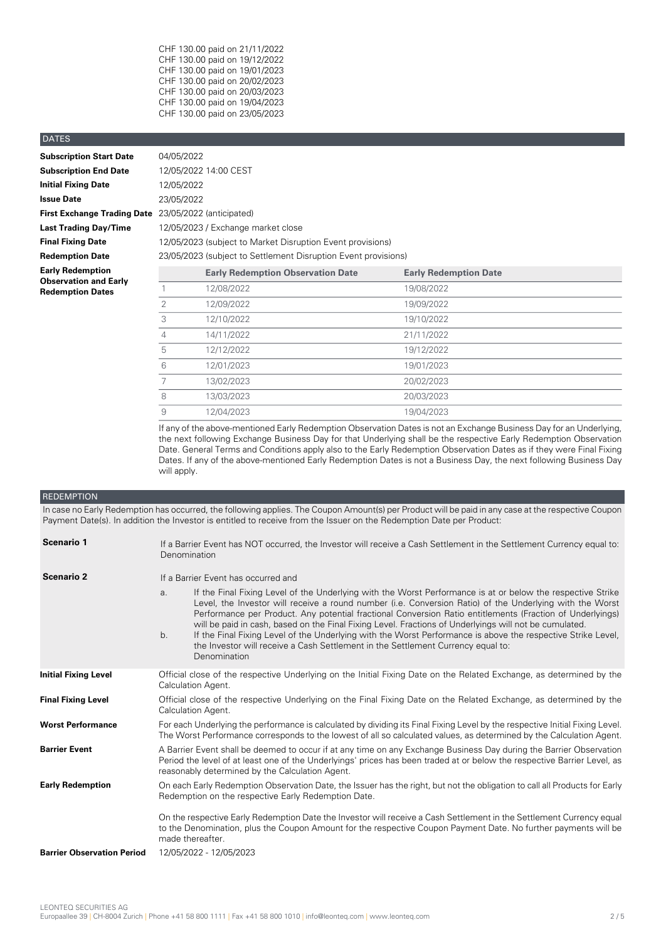CHF 130.00 paid on 21/11/2022 CHF 130.00 paid on 19/12/2022 CHF 130.00 paid on 19/01/2023 CHF 130.00 paid on 20/02/2023 CHF 130.00 paid on 20/03/2023 CHF 130.00 paid on 19/04/2023 CHF 130.00 paid on 23/05/2023

## DATES

| <b>Subscription Start Date</b>     | C |
|------------------------------------|---|
| <b>Subscription End Date</b>       | 1 |
| <b>Initial Fixing Date</b>         | 1 |
| <b>Issue Date</b>                  | 2 |
| <b>First Exchange Trading Date</b> | 2 |
| <b>Last Trading Day/Time</b>       | 1 |
| <b>Final Fixing Date</b>           | 1 |
| <b>Redemption Date</b>             | 2 |
| <b>Early Redemption</b>            |   |
| <b>Observation and Early</b>       |   |
| <b>Redemption Dates</b>            |   |

**Subscription Start Date** 04/05/2022 **Subscription End Date** 12/05/2022 14:00 CEST **Initial Fixing Date** 12/05/2022 **Issue Date** 23/05/2022 **First Exchange Trading Date** 23/05/2022 (anticipated) **Last Trading Day/Time** 12/05/2023 / Exchange market close **12/05/2023** (subject to Market Disruption Event provisions) **Redemption Date** 23/05/2023 (subject to Settlement Disruption Event provisions)

| Early Redemption<br><b>Observation and Early</b> |   | <b>Early Redemption Observation Date</b> | <b>Early Redemption Date</b> |  |
|--------------------------------------------------|---|------------------------------------------|------------------------------|--|
| <b>Redemption Dates</b>                          |   | 12/08/2022                               | 19/08/2022                   |  |
|                                                  |   | 12/09/2022                               | 19/09/2022                   |  |
|                                                  |   | 12/10/2022                               | 19/10/2022                   |  |
|                                                  | 4 | 14/11/2022                               | 21/11/2022                   |  |
|                                                  | 5 | 12/12/2022                               | 19/12/2022                   |  |
|                                                  | 6 | 12/01/2023                               | 19/01/2023                   |  |
|                                                  |   | 13/02/2023                               | 20/02/2023                   |  |
|                                                  | 8 | 13/03/2023                               | 20/03/2023                   |  |
|                                                  | 9 | 12/04/2023                               | 19/04/2023                   |  |

If any of the above-mentioned Early Redemption Observation Dates is not an Exchange Business Day for an Underlying, the next following Exchange Business Day for that Underlying shall be the respective Early Redemption Observation Date. General Terms and Conditions apply also to the Early Redemption Observation Dates as if they were Final Fixing Dates. If any of the above-mentioned Early Redemption Dates is not a Business Day, the next following Business Day will apply.

## **REDEMPTION**

In case no Early Redemption has occurred, the following applies. The Coupon Amount(s) per Product will be paid in any case at the respective Coupon Payment Date(s). In addition the Investor is entitled to receive from the Issuer on the Redemption Date per Product:

| Scenario 1                        | If a Barrier Event has NOT occurred, the Investor will receive a Cash Settlement in the Settlement Currency equal to:<br>Denomination                                                                                                                                                                                                                                                                                                                                                                                                                                                                                                                                          |  |  |
|-----------------------------------|--------------------------------------------------------------------------------------------------------------------------------------------------------------------------------------------------------------------------------------------------------------------------------------------------------------------------------------------------------------------------------------------------------------------------------------------------------------------------------------------------------------------------------------------------------------------------------------------------------------------------------------------------------------------------------|--|--|
| <b>Scenario 2</b>                 | If a Barrier Event has occurred and                                                                                                                                                                                                                                                                                                                                                                                                                                                                                                                                                                                                                                            |  |  |
|                                   | If the Final Fixing Level of the Underlying with the Worst Performance is at or below the respective Strike<br>a.<br>Level, the Investor will receive a round number (i.e. Conversion Ratio) of the Underlying with the Worst<br>Performance per Product. Any potential fractional Conversion Ratio entitlements (Fraction of Underlyings)<br>will be paid in cash, based on the Final Fixing Level. Fractions of Underlyings will not be cumulated.<br>If the Final Fixing Level of the Underlying with the Worst Performance is above the respective Strike Level,<br>b.<br>the Investor will receive a Cash Settlement in the Settlement Currency equal to:<br>Denomination |  |  |
| <b>Initial Fixing Level</b>       | Official close of the respective Underlying on the Initial Fixing Date on the Related Exchange, as determined by the<br>Calculation Agent.                                                                                                                                                                                                                                                                                                                                                                                                                                                                                                                                     |  |  |
| <b>Final Fixing Level</b>         | Official close of the respective Underlying on the Final Fixing Date on the Related Exchange, as determined by the<br>Calculation Agent.                                                                                                                                                                                                                                                                                                                                                                                                                                                                                                                                       |  |  |
| <b>Worst Performance</b>          | For each Underlying the performance is calculated by dividing its Final Fixing Level by the respective Initial Fixing Level.<br>The Worst Performance corresponds to the lowest of all so calculated values, as determined by the Calculation Agent.                                                                                                                                                                                                                                                                                                                                                                                                                           |  |  |
| <b>Barrier Event</b>              | A Barrier Event shall be deemed to occur if at any time on any Exchange Business Day during the Barrier Observation<br>Period the level of at least one of the Underlyings' prices has been traded at or below the respective Barrier Level, as<br>reasonably determined by the Calculation Agent.                                                                                                                                                                                                                                                                                                                                                                             |  |  |
| <b>Early Redemption</b>           | On each Early Redemption Observation Date, the Issuer has the right, but not the obligation to call all Products for Early<br>Redemption on the respective Early Redemption Date.                                                                                                                                                                                                                                                                                                                                                                                                                                                                                              |  |  |
|                                   | On the respective Early Redemption Date the Investor will receive a Cash Settlement in the Settlement Currency equal<br>to the Denomination, plus the Coupon Amount for the respective Coupon Payment Date. No further payments will be<br>made thereafter.                                                                                                                                                                                                                                                                                                                                                                                                                    |  |  |
| <b>Barrier Observation Period</b> | 12/05/2022 - 12/05/2023                                                                                                                                                                                                                                                                                                                                                                                                                                                                                                                                                                                                                                                        |  |  |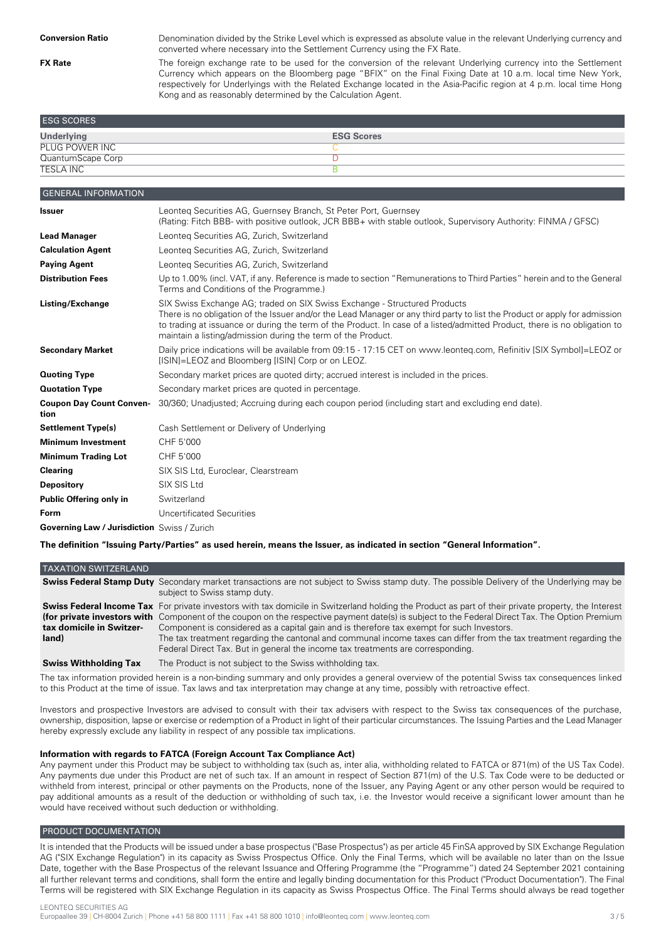**FX Rate**

Denomination divided by the Strike Level which is expressed as absolute value in the relevant Underlying currency and converted where necessary into the Settlement Currency using the FX Rate.

The foreign exchange rate to be used for the conversion of the relevant Underlying currency into the Settlement Currency which appears on the Bloomberg page "BFIX" on the Final Fixing Date at 10 a.m. local time New York, respectively for Underlyings with the Related Exchange located in the Asia-Pacific region at 4 p.m. local time Hong Kong and as reasonably determined by the Calculation Agent.

| <b>ESG SCORES</b> |                   |
|-------------------|-------------------|
| <b>Underlying</b> | <b>ESG Scores</b> |
| PLUG POWER INC    |                   |
| QuantumScape Corp |                   |
| <b>TESLA INC</b>  |                   |

| <b>GENERAL INFORMATION</b>                         |                                                                                                                                                                                                                                                                                                                                                                                                      |
|----------------------------------------------------|------------------------------------------------------------------------------------------------------------------------------------------------------------------------------------------------------------------------------------------------------------------------------------------------------------------------------------------------------------------------------------------------------|
| <b>Issuer</b>                                      | Leonteg Securities AG, Guernsey Branch, St Peter Port, Guernsey<br>(Rating: Fitch BBB- with positive outlook, JCR BBB+ with stable outlook, Supervisory Authority: FINMA / GFSC)                                                                                                                                                                                                                     |
| <b>Lead Manager</b>                                | Leonteg Securities AG, Zurich, Switzerland                                                                                                                                                                                                                                                                                                                                                           |
| <b>Calculation Agent</b>                           | Leonteg Securities AG, Zurich, Switzerland                                                                                                                                                                                                                                                                                                                                                           |
| <b>Paying Agent</b>                                | Leonteg Securities AG, Zurich, Switzerland                                                                                                                                                                                                                                                                                                                                                           |
| <b>Distribution Fees</b>                           | Up to 1.00% (incl. VAT, if any. Reference is made to section "Remunerations to Third Parties" herein and to the General<br>Terms and Conditions of the Programme.)                                                                                                                                                                                                                                   |
| Listing/Exchange                                   | SIX Swiss Exchange AG; traded on SIX Swiss Exchange - Structured Products<br>There is no obligation of the Issuer and/or the Lead Manager or any third party to list the Product or apply for admission<br>to trading at issuance or during the term of the Product. In case of a listed/admitted Product, there is no obligation to<br>maintain a listing/admission during the term of the Product. |
| <b>Secondary Market</b>                            | Daily price indications will be available from 09:15 - 17:15 CET on www.leonteg.com, Refinitiv (SIX Symbol]=LEOZ or<br>[ISIN]=LEOZ and Bloomberg [ISIN] Corp or on LEOZ.                                                                                                                                                                                                                             |
| <b>Quoting Type</b>                                | Secondary market prices are quoted dirty; accrued interest is included in the prices.                                                                                                                                                                                                                                                                                                                |
| <b>Quotation Type</b>                              | Secondary market prices are quoted in percentage.                                                                                                                                                                                                                                                                                                                                                    |
| <b>Coupon Day Count Conven-</b><br>tion            | 30/360; Unadjusted; Accruing during each coupon period (including start and excluding end date).                                                                                                                                                                                                                                                                                                     |
| <b>Settlement Type(s)</b>                          | Cash Settlement or Delivery of Underlying                                                                                                                                                                                                                                                                                                                                                            |
| <b>Minimum Investment</b>                          | CHF 5'000                                                                                                                                                                                                                                                                                                                                                                                            |
| <b>Minimum Trading Lot</b>                         | CHF 5'000                                                                                                                                                                                                                                                                                                                                                                                            |
| <b>Clearing</b>                                    | SIX SIS Ltd, Euroclear, Clearstream                                                                                                                                                                                                                                                                                                                                                                  |
| <b>Depository</b>                                  | SIX SIS Ltd                                                                                                                                                                                                                                                                                                                                                                                          |
| Public Offering only in                            | Switzerland                                                                                                                                                                                                                                                                                                                                                                                          |
| Form                                               | <b>Uncertificated Securities</b>                                                                                                                                                                                                                                                                                                                                                                     |
| <b>Governing Law / Jurisdiction</b> Swiss / Zurich |                                                                                                                                                                                                                                                                                                                                                                                                      |

The definition "Issuing Party/Parties" as used herein, means the Issuer, as indicated in section "General Information".

| <b>TAXATION SWITZERLAND</b>       |                                                                                                                                                                                                                                                                                                                                                                                                                                                                                                                                                                                                                    |
|-----------------------------------|--------------------------------------------------------------------------------------------------------------------------------------------------------------------------------------------------------------------------------------------------------------------------------------------------------------------------------------------------------------------------------------------------------------------------------------------------------------------------------------------------------------------------------------------------------------------------------------------------------------------|
|                                   | <b>Swiss Federal Stamp Duty</b> Secondary market transactions are not subject to Swiss stamp duty. The possible Delivery of the Underlying may be<br>subject to Swiss stamp duty.                                                                                                                                                                                                                                                                                                                                                                                                                                  |
| tax domicile in Switzer-<br>land) | <b>Swiss Federal Income Tax</b> For private investors with tax domicile in Switzerland holding the Product as part of their private property, the Interest<br>(for private investors with Component of the coupon on the respective payment date(s) is subject to the Federal Direct Tax. The Option Premium<br>Component is considered as a capital gain and is therefore tax exempt for such Investors.<br>The tax treatment regarding the cantonal and communal income taxes can differ from the tax treatment regarding the<br>Federal Direct Tax. But in general the income tax treatments are corresponding. |
| <b>Swiss Withholding Tax</b>      | The Product is not subject to the Swiss withholding tax.                                                                                                                                                                                                                                                                                                                                                                                                                                                                                                                                                           |
|                                   | $\mathbf{r}$ , and the contract of the contract of the contract of the contract of the contract of the contract of the contract of the contract of the contract of the contract of the contract of the contract of the contract o                                                                                                                                                                                                                                                                                                                                                                                  |

The tax information provided herein is a non-binding summary and only provides a general overview of the potential Swiss tax consequences linked to this Product at the time of issue. Tax laws and tax interpretation may change at any time, possibly with retroactive effect.

Investors and prospective Investors are advised to consult with their tax advisers with respect to the Swiss tax consequences of the purchase, ownership, disposition, lapse or exercise or redemption of a Product in light of their particular circumstances. The Issuing Parties and the Lead Manager hereby expressly exclude any liability in respect of any possible tax implications.

## **Information with regards to FATCA (Foreign Account Tax Compliance Act)**

Any payment under this Product may be subject to withholding tax (such as, inter alia, withholding related to FATCA or 871(m) of the US Tax Code). Any payments due under this Product are net of such tax. If an amount in respect of Section 871(m) of the U.S. Tax Code were to be deducted or withheld from interest, principal or other payments on the Products, none of the Issuer, any Paying Agent or any other person would be required to pay additional amounts as a result of the deduction or withholding of such tax, i.e. the Investor would receive a significant lower amount than he would have received without such deduction or withholding.

## PRODUCT DOCUMENTATION

It is intended that the Products will be issued under a base prospectus ("Base Prospectus") as per article 45 FinSA approved by SIX Exchange Regulation AG ("SIX Exchange Regulation") in its capacity as Swiss Prospectus Office. Only the Final Terms, which will be available no later than on the Issue Date, together with the Base Prospectus of the relevant Issuance and Offering Programme (the "Programme") dated 24 September 2021 containing all further relevant terms and conditions, shall form the entire and legally binding documentation for this Product ("Product Documentation"). The Final Terms will be registered with SIX Exchange Regulation in its capacity as Swiss Prospectus Office. The Final Terms should always be read together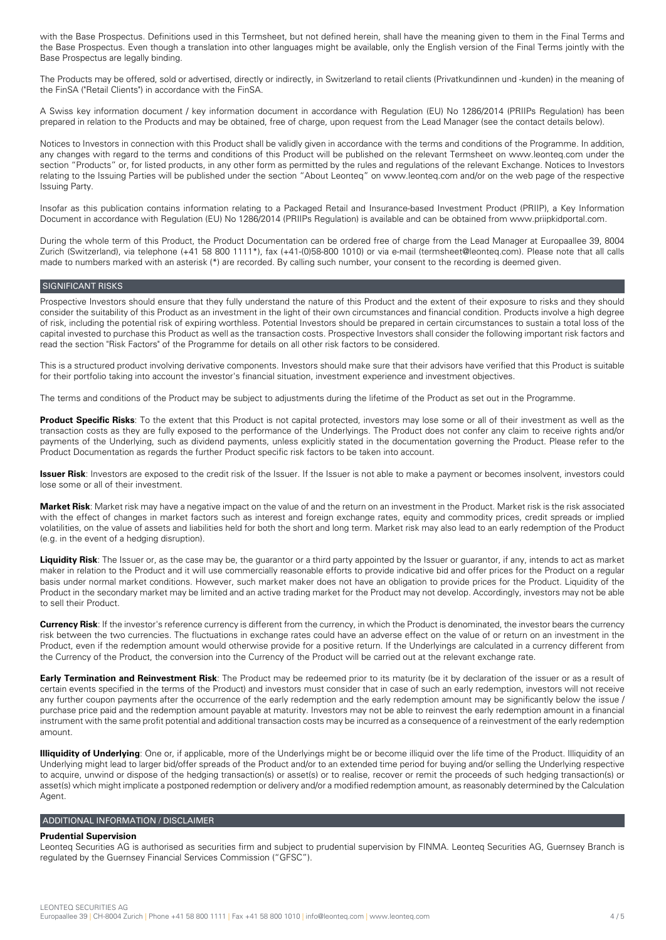with the Base Prospectus. Definitions used in this Termsheet, but not defined herein, shall have the meaning given to them in the Final Terms and the Base Prospectus. Even though a translation into other languages might be available, only the English version of the Final Terms jointly with the Base Prospectus are legally binding.

The Products may be offered, sold or advertised, directly or indirectly, in Switzerland to retail clients (Privatkundinnen und -kunden) in the meaning of the FinSA ("Retail Clients") in accordance with the FinSA.

A Swiss key information document / key information document in accordance with Regulation (EU) No 1286/2014 (PRIIPs Regulation) has been prepared in relation to the Products and may be obtained, free of charge, upon request from the Lead Manager (see the contact details below).

Notices to Investors in connection with this Product shall be validly given in accordance with the terms and conditions of the Programme. In addition, any changes with regard to the terms and conditions of this Product will be published on the relevant Termsheet on www.leonteq.com under the section "Products" or, for listed products, in any other form as permitted by the rules and regulations of the relevant Exchange. Notices to Investors relating to the Issuing Parties will be published under the section "About Leonteq" on www.leonteq.com and/or on the web page of the respective Issuing Party.

Insofar as this publication contains information relating to a Packaged Retail and Insurance-based Investment Product (PRIIP), a Key Information Document in accordance with Regulation (EU) No 1286/2014 (PRIIPs Regulation) is available and can be obtained from www.priipkidportal.com.

During the whole term of this Product, the Product Documentation can be ordered free of charge from the Lead Manager at Europaallee 39, 8004 Zurich (Switzerland), via telephone (+41 58 800 1111\*), fax (+41-(0)58-800 1010) or via e-mail (termsheet@leonteq.com). Please note that all calls made to numbers marked with an asterisk (\*) are recorded. By calling such number, your consent to the recording is deemed given.

## SIGNIFICANT RISKS

Prospective Investors should ensure that they fully understand the nature of this Product and the extent of their exposure to risks and they should consider the suitability of this Product as an investment in the light of their own circumstances and financial condition. Products involve a high degree of risk, including the potential risk of expiring worthless. Potential Investors should be prepared in certain circumstances to sustain a total loss of the capital invested to purchase this Product as well as the transaction costs. Prospective Investors shall consider the following important risk factors and read the section "Risk Factors" of the Programme for details on all other risk factors to be considered.

This is a structured product involving derivative components. Investors should make sure that their advisors have verified that this Product is suitable for their portfolio taking into account the investor's financial situation, investment experience and investment objectives.

The terms and conditions of the Product may be subject to adjustments during the lifetime of the Product as set out in the Programme.

**Product Specific Risks**: To the extent that this Product is not capital protected, investors may lose some or all of their investment as well as the transaction costs as they are fully exposed to the performance of the Underlyings. The Product does not confer any claim to receive rights and/or payments of the Underlying, such as dividend payments, unless explicitly stated in the documentation governing the Product. Please refer to the Product Documentation as regards the further Product specific risk factors to be taken into account.

**Issuer Risk**: Investors are exposed to the credit risk of the Issuer. If the Issuer is not able to make a payment or becomes insolvent, investors could lose some or all of their investment.

**Market Risk**: Market risk may have a negative impact on the value of and the return on an investment in the Product. Market risk is the risk associated with the effect of changes in market factors such as interest and foreign exchange rates, equity and commodity prices, credit spreads or implied volatilities, on the value of assets and liabilities held for both the short and long term. Market risk may also lead to an early redemption of the Product (e.g. in the event of a hedging disruption).

**Liquidity Risk**: The Issuer or, as the case may be, the guarantor or a third party appointed by the Issuer or guarantor, if any, intends to act as market maker in relation to the Product and it will use commercially reasonable efforts to provide indicative bid and offer prices for the Product on a regular basis under normal market conditions. However, such market maker does not have an obligation to provide prices for the Product. Liquidity of the Product in the secondary market may be limited and an active trading market for the Product may not develop. Accordingly, investors may not be able to sell their Product.

**Currency Risk**: If the investor's reference currency is different from the currency, in which the Product is denominated, the investor bears the currency risk between the two currencies. The fluctuations in exchange rates could have an adverse effect on the value of or return on an investment in the Product, even if the redemption amount would otherwise provide for a positive return. If the Underlyings are calculated in a currency different from the Currency of the Product, the conversion into the Currency of the Product will be carried out at the relevant exchange rate.

**Early Termination and Reinvestment Risk**: The Product may be redeemed prior to its maturity (be it by declaration of the issuer or as a result of certain events specified in the terms of the Product) and investors must consider that in case of such an early redemption, investors will not receive any further coupon payments after the occurrence of the early redemption and the early redemption amount may be significantly below the issue / purchase price paid and the redemption amount payable at maturity. Investors may not be able to reinvest the early redemption amount in a financial instrument with the same profit potential and additional transaction costs may be incurred as a consequence of a reinvestment of the early redemption amount.

**Illiquidity of Underlying**: One or, if applicable, more of the Underlyings might be or become illiquid over the life time of the Product. Illiquidity of an Underlying might lead to larger bid/offer spreads of the Product and/or to an extended time period for buying and/or selling the Underlying respective to acquire, unwind or dispose of the hedging transaction(s) or asset(s) or to realise, recover or remit the proceeds of such hedging transaction(s) or asset(s) which might implicate a postponed redemption or delivery and/or a modified redemption amount, as reasonably determined by the Calculation Agent.

#### ADDITIONAL INFORMATION / DISCLAIMER

#### **Prudential Supervision**

Leonteq Securities AG is authorised as securities firm and subject to prudential supervision by FINMA. Leonteq Securities AG, Guernsey Branch is regulated by the Guernsey Financial Services Commission ("GFSC").